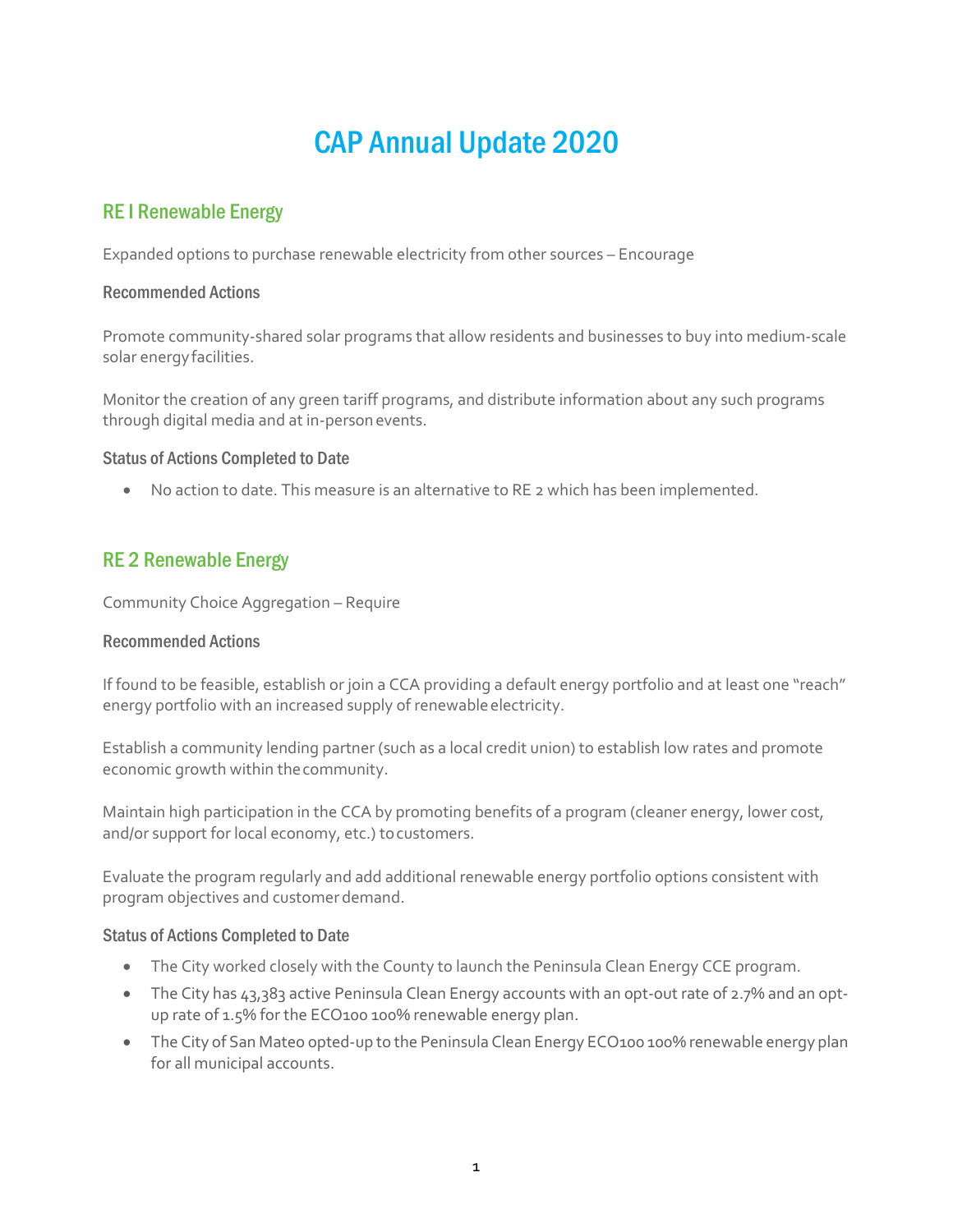# CAP Annual Update 2020

# RE I Renewable Energy

Expanded options to purchase renewable electricity from other sources – Encourage

### Recommended Actions

Promote community-shared solar programs that allow residents and businesses to buy into medium-scale solar energyfacilities.

Monitor the creation of any green tariff programs, and distribute information about any such programs through digital media and at in-personevents.

### Status of Actions Completed to Date

• No action to date. This measure is an alternative to RE 2 which has been implemented.

# RE 2 Renewable Energy

Community Choice Aggregation – Require

# Recommended Actions

If found to be feasible, establish or join a CCA providing a default energy portfolio and at least one "reach" energy portfolio with an increased supply of renewable electricity.

Establish a community lending partner (such as a local credit union) to establish low rates and promote economic growth within thecommunity.

Maintain high participation in the CCA by promoting benefits of a program (cleaner energy, lower cost, and/or support for local economy, etc.) to customers.

Evaluate the program regularly and add additional renewable energy portfolio options consistent with program objectives and customer demand.

- The City worked closely with the County to launch the Peninsula Clean Energy CCE program.
- The City has 43,383 active Peninsula Clean Energy accounts with an opt-out rate of 2.7% and an optup rate of 1.5% for the ECO100 100% renewable energy plan.
- The City of San Mateo opted-up to the Peninsula Clean Energy ECO100 100% renewable energy plan for all municipal accounts.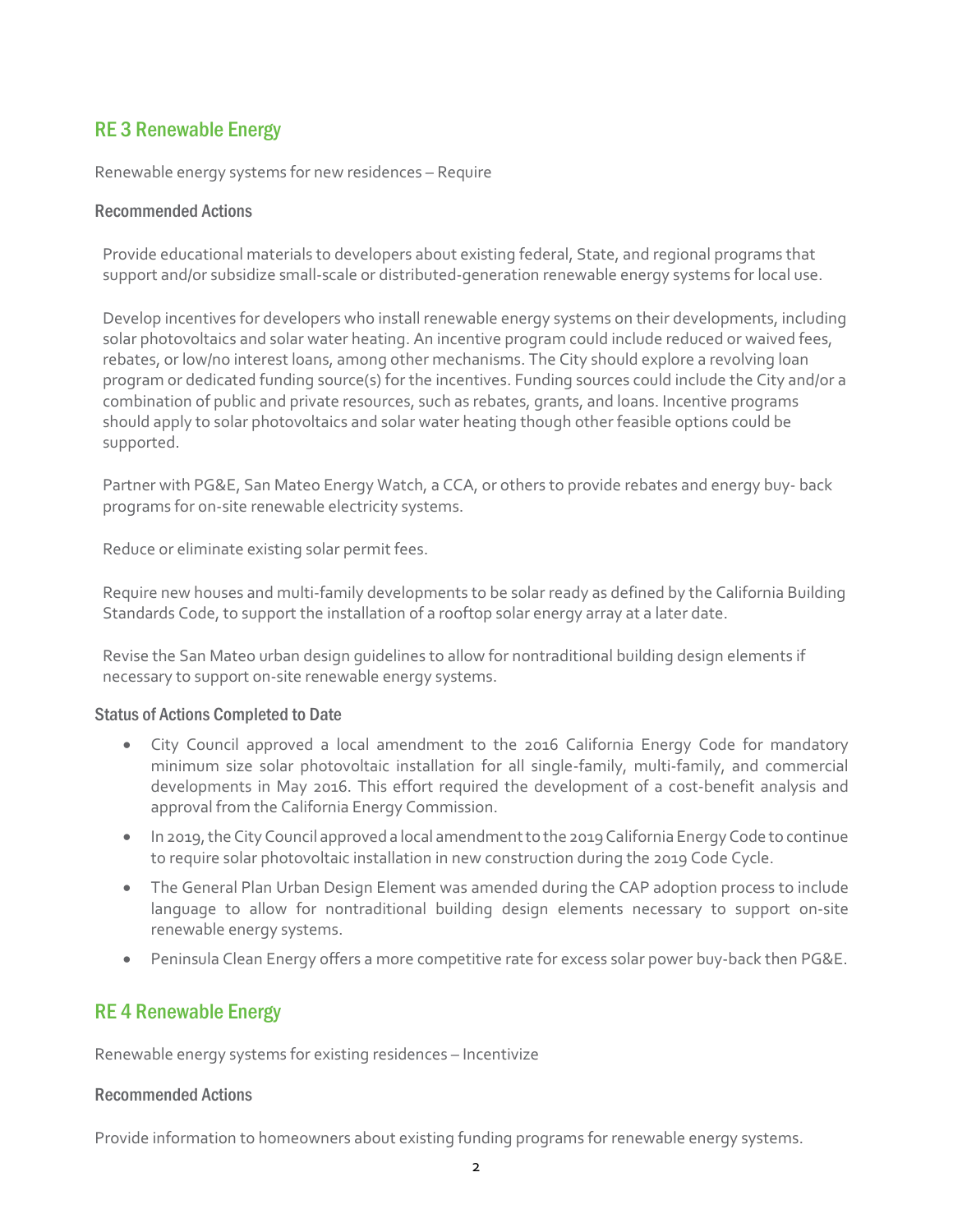# RE 3 Renewable Energy

Renewable energy systems for new residences – Require

### Recommended Actions

Provide educational materials to developers about existing federal, State, and regional programs that support and/or subsidize small-scale or distributed-generation renewable energy systems for local use.

Develop incentives for developers who install renewable energy systems on their developments, including solar photovoltaics and solar water heating. An incentive program could include reduced or waived fees, rebates, or low/no interest loans, among other mechanisms. The City should explore a revolving loan program or dedicated funding source(s) for the incentives. Funding sources could include the City and/or a combination of public and private resources, such as rebates, grants, and loans. Incentive programs should apply to solar photovoltaics and solar water heating though other feasible options could be supported.

Partner with PG&E, San Mateo Energy Watch, a CCA, or others to provide rebates and energy buy- back programs for on-site renewable electricity systems.

Reduce or eliminate existing solar permit fees.

Require new houses and multi-family developments to be solar ready as defined by the California Building Standards Code, to support the installation of a rooftop solar energy array at a later date.

Revise the San Mateo urban design guidelines to allow for nontraditional building design elements if necessary to support on-site renewable energy systems.

# Status of Actions Completed to Date

- City Council approved a local amendment to the 2016 California Energy Code for mandatory minimum size solar photovoltaic installation for all single-family, multi-family, and commercial developments in May 2016. This effort required the development of a cost-benefit analysis and approval from the California Energy Commission.
- In 2019, the City Council approved a local amendment to the 2019 California Energy Code to continue to require solar photovoltaic installation in new construction during the 2019 Code Cycle.
- The General Plan Urban Design Element was amended during the CAP adoption process to include language to allow for nontraditional building design elements necessary to support on-site renewable energy systems.
- Peninsula Clean Energy offers a more competitive rate for excess solar power buy-back then PG&E.

# RE 4 Renewable Energy

Renewable energy systems for existing residences – Incentivize

#### Recommended Actions

Provide information to homeowners about existing funding programs for renewable energy systems.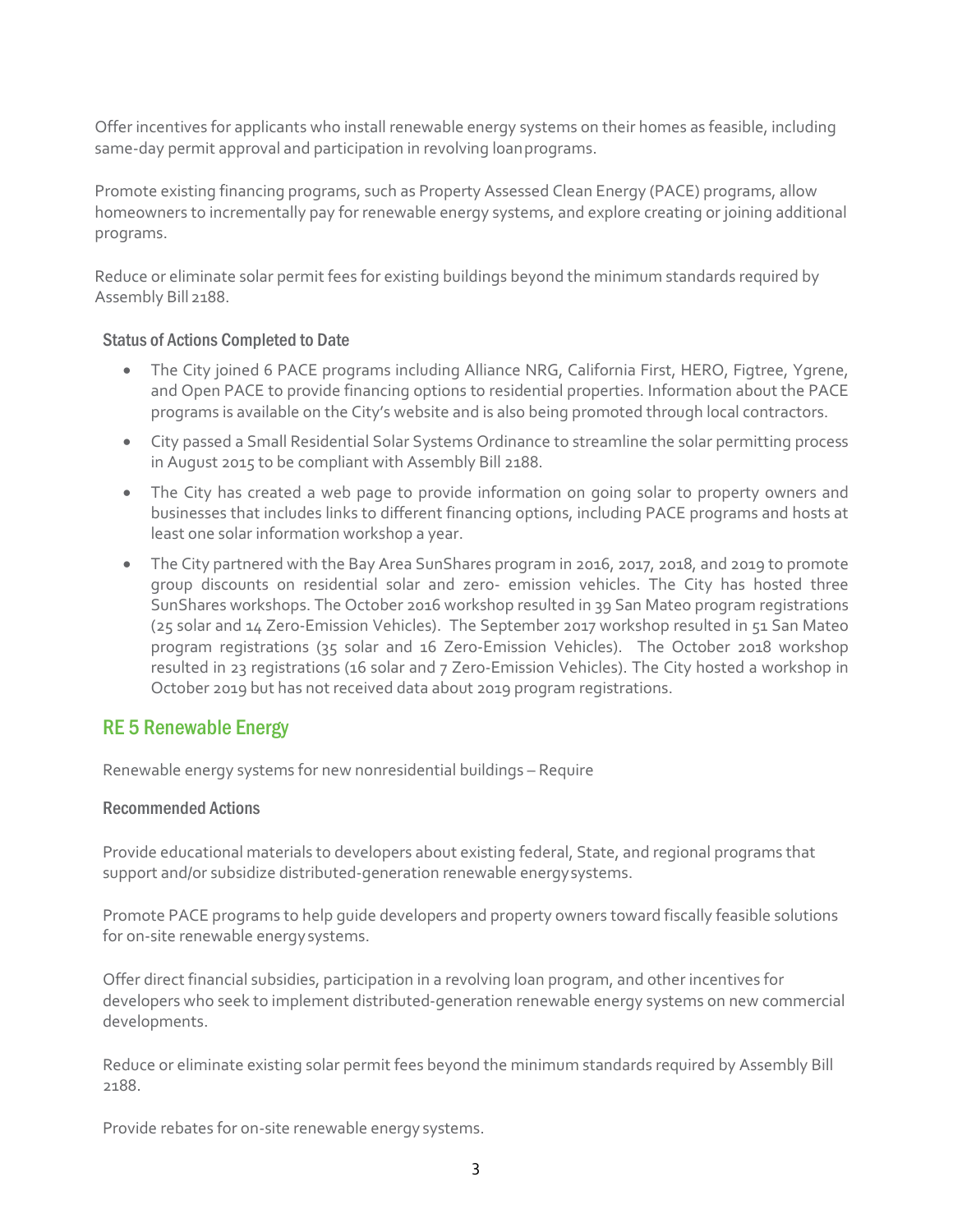Offer incentives for applicants who install renewable energy systems on their homes as feasible, including same-day permit approval and participation in revolving loanprograms.

Promote existing financing programs, such as Property Assessed Clean Energy (PACE) programs, allow homeowners to incrementally pay for renewable energy systems, and explore creating or joining additional programs.

Reduce or eliminate solar permit fees for existing buildings beyond the minimum standards required by Assembly Bill 2188.

### Status of Actions Completed to Date

- The City joined 6 PACE programs including Alliance NRG, California First, HERO, Figtree, Ygrene, and Open PACE to provide financing options to residential properties. Information about the PACE programs is available on the City's website and is also being promoted through local contractors.
- City passed a Small Residential Solar Systems Ordinance to streamline the solar permitting process in August 2015 to be compliant with Assembly Bill 2188.
- The City has created a web page to provide information on going solar to property owners and businesses that includes links to different financing options, including PACE programs and hosts at least one solar information workshop a year.
- The City partnered with the Bay Area SunShares program in 2016, 2017, 2018, and 2019 to promote group discounts on residential solar and zero- emission vehicles. The City has hosted three SunShares workshops. The October 2016 workshop resulted in 39 San Mateo program registrations (25 solar and 14 Zero-Emission Vehicles). The September 2017 workshop resulted in 51 San Mateo program registrations (35 solar and 16 Zero-Emission Vehicles). The October 2018 workshop resulted in 23 registrations (16 solar and 7 Zero-Emission Vehicles). The City hosted a workshop in October 2019 but has not received data about 2019 program registrations.

# RE 5 Renewable Energy

Renewable energy systems for new nonresidential buildings – Require

#### Recommended Actions

Provide educational materials to developers about existing federal, State, and regional programs that support and/or subsidize distributed-generation renewable energysystems.

Promote PACE programs to help guide developers and property owners toward fiscally feasible solutions for on-site renewable energysystems.

Offer direct financial subsidies, participation in a revolving loan program, and other incentives for developers who seek to implement distributed-generation renewable energy systems on new commercial developments.

Reduce or eliminate existing solar permit fees beyond the minimum standards required by Assembly Bill 2188.

Provide rebates for on-site renewable energy systems.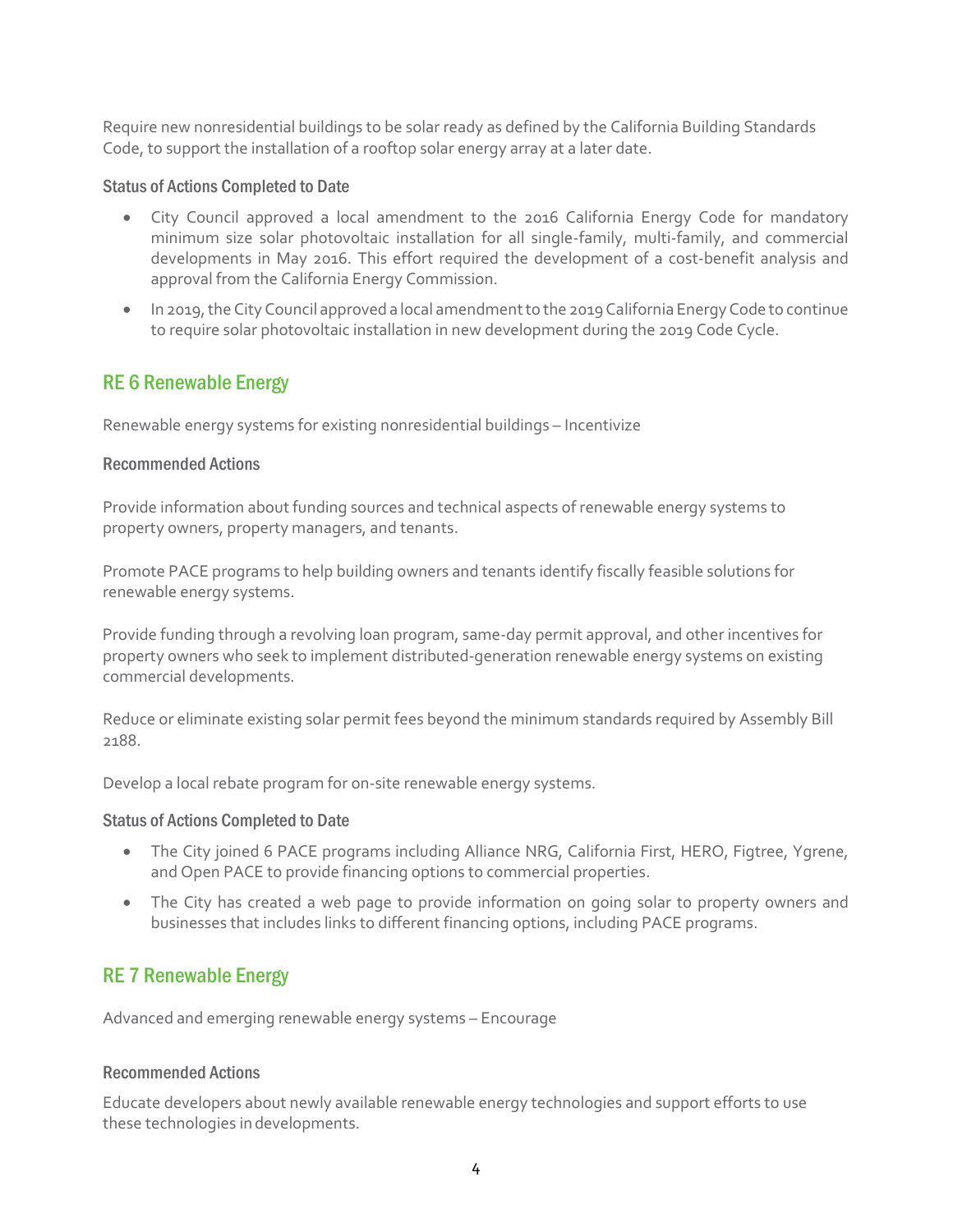Require new nonresidential buildings to be solar ready as defined by the California Building Standards Code, to support the installation of a rooftop solar energy array at a later date.

#### Status of Actions Completed to Date

- City Council approved a local amendment to the 2016 California Energy Code for mandatory minimum size solar photovoltaic installation for all single-family, multi-family, and commercial developments in May 2016. This effort required the development of a cost-benefit analysis and approval from the California Energy Commission.
- In 2019, the City Council approved a local amendment to the 2019 California Energy Code to continue to require solar photovoltaic installation in new development during the 2019 Code Cycle.

# RE 6 Renewable Energy

Renewable energy systems for existing nonresidential buildings – Incentivize

### Recommended Actions

Provide information about funding sources and technical aspects of renewable energy systems to property owners, property managers, and tenants.

Promote PACE programs to help building owners and tenants identify fiscally feasible solutions for renewable energy systems.

Provide funding through a revolving loan program, same-day permit approval, and other incentives for property owners who seek to implement distributed-generation renewable energy systems on existing commercial developments.

Reduce or eliminate existing solar permit fees beyond the minimum standards required by Assembly Bill 2188.

Develop a local rebate program for on-site renewable energy systems.

#### Status of Actions Completed to Date

- The City joined 6 PACE programs including Alliance NRG, California First, HERO, Figtree, Ygrene, and Open PACE to provide financing options to commercial properties.
- The City has created a web page to provide information on going solar to property owners and businesses that includes links to different financing options, including PACE programs.

# RE 7 Renewable Energy

Advanced and emerging renewable energy systems – Encourage

# Recommended Actions

Educate developers about newly available renewable energy technologies and support efforts to use these technologies indevelopments.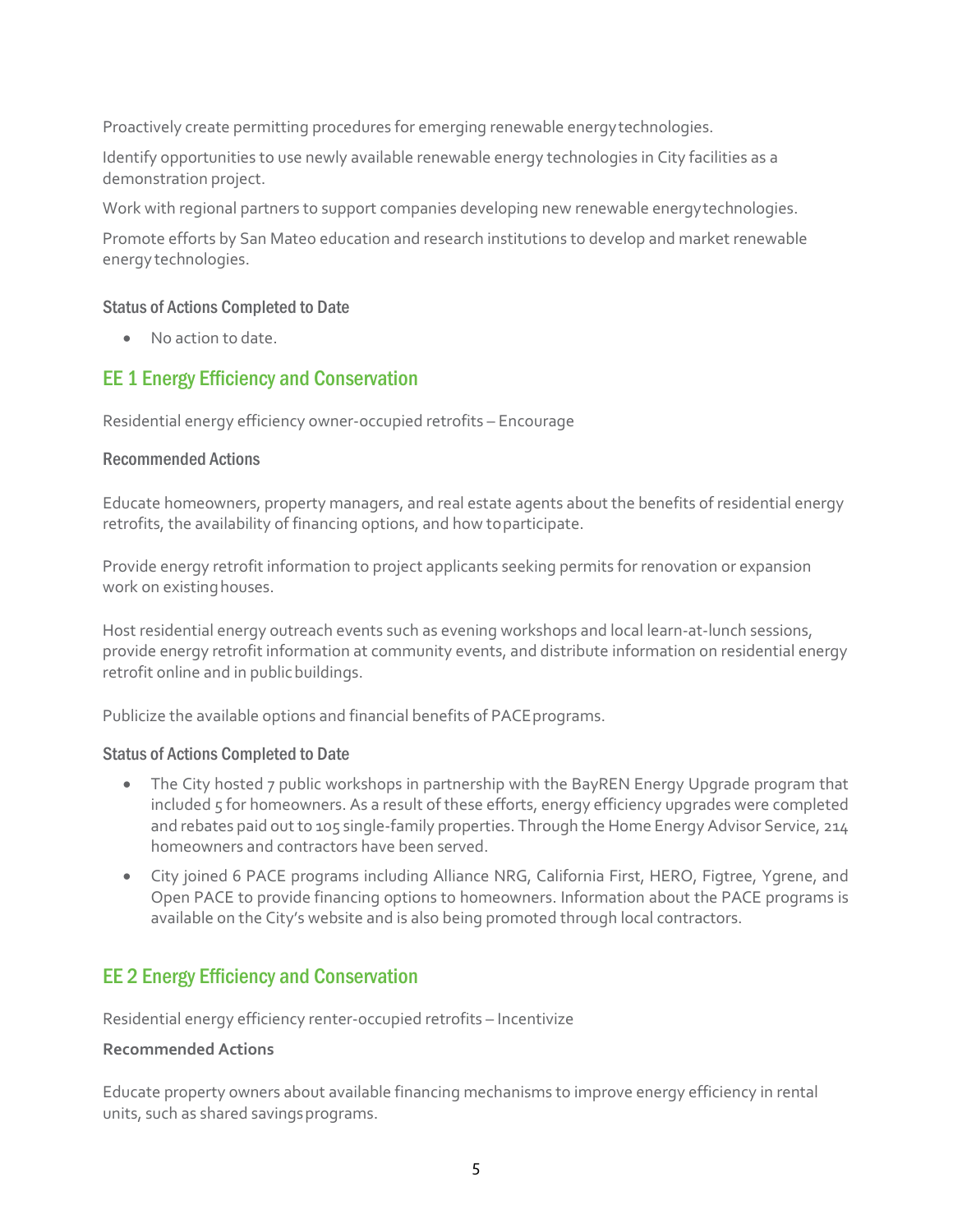Proactively create permitting procedures for emerging renewable energytechnologies.

Identify opportunities to use newly available renewable energy technologies in City facilities as a demonstration project.

Work with regional partners to support companies developing new renewable energytechnologies.

Promote efforts by San Mateo education and research institutions to develop and market renewable energy technologies.

### Status of Actions Completed to Date

• No action to date.

# EE 1 Energy Efficiency and Conservation

Residential energy efficiency owner-occupied retrofits – Encourage

### Recommended Actions

Educate homeowners, property managers, and real estate agents about the benefits of residential energy retrofits, the availability of financing options, and how toparticipate.

Provide energy retrofit information to project applicants seeking permits for renovation or expansion work on existing houses.

Host residential energy outreach events such as evening workshops and local learn-at-lunch sessions, provide energy retrofit information at community events, and distribute information on residential energy retrofit online and in public buildings.

Publicize the available options and financial benefits of PACE programs.

#### Status of Actions Completed to Date

- The City hosted 7 public workshops in partnership with the BayREN Energy Upgrade program that included 5 for homeowners. As a result of these efforts, energy efficiency upgrades were completed and rebates paid out to 105 single-family properties. Through the Home Energy Advisor Service, 214 homeowners and contractors have been served.
- City joined 6 PACE programs including Alliance NRG, California First, HERO, Figtree, Ygrene, and Open PACE to provide financing options to homeowners. Information about the PACE programs is available on the City's website and is also being promoted through local contractors.

# EE 2 Energy Efficiency and Conservation

Residential energy efficiency renter-occupied retrofits – Incentivize

#### **Recommended Actions**

Educate property owners about available financing mechanisms to improve energy efficiency in rental units, such as shared savings programs.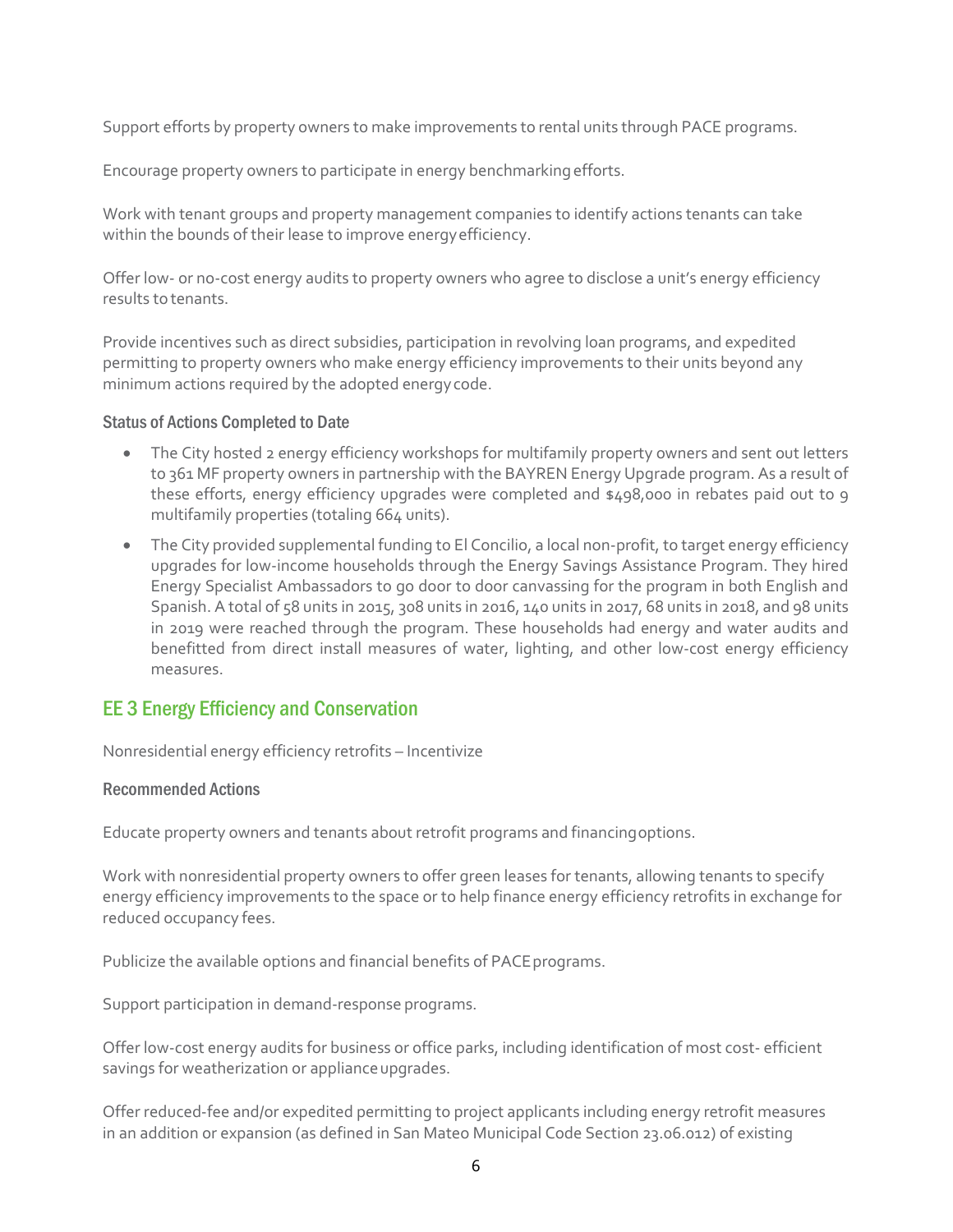Support efforts by property owners to make improvements to rental units through PACE programs.

Encourage property owners to participate in energy benchmarkingefforts.

Work with tenant groups and property management companies to identify actions tenants can take within the bounds of their lease to improve energyefficiency.

Offer low- or no-cost energy audits to property owners who agree to disclose a unit's energy efficiency results to tenants.

Provide incentives such as direct subsidies, participation in revolving loan programs, and expedited permitting to property owners who make energy efficiency improvements to their units beyond any minimum actions required by the adopted energycode.

#### Status of Actions Completed to Date

- The City hosted 2 energy efficiency workshops for multifamily property owners and sent out letters to 361 MF property owners in partnership with the BAYREN Energy Upgrade program. As a result of these efforts, energy efficiency upgrades were completed and \$498,000 in rebates paid out to 9 multifamily properties (totaling 664 units).
- The City provided supplemental funding to El Concilio, a local non-profit, to target energy efficiency upgrades for low-income households through the Energy Savings Assistance Program. They hired Energy Specialist Ambassadors to go door to door canvassing for the program in both English and Spanish. A total of 58 units in 2015, 308 units in 2016, 140 units in 2017, 68 units in 2018, and 98 units in 2019 were reached through the program. These households had energy and water audits and benefitted from direct install measures of water, lighting, and other low-cost energy efficiency measures.

# EE 3 Energy Efficiency and Conservation

Nonresidential energy efficiency retrofits – Incentivize

# Recommended Actions

Educate property owners and tenants about retrofit programs and financingoptions.

Work with nonresidential property owners to offer green leases for tenants, allowing tenants to specify energy efficiency improvements to the space or to help finance energy efficiency retrofits in exchange for reduced occupancy fees.

Publicize the available options and financial benefits of PACE programs.

Support participation in demand-response programs.

Offer low-cost energy audits for business or office parks, including identification of most cost- efficient savings for weatherization or appliance upgrades.

Offer reduced-fee and/or expedited permitting to project applicants including energy retrofit measures in an addition or expansion (as defined in San Mateo Municipal Code Section 23.06.012) of existing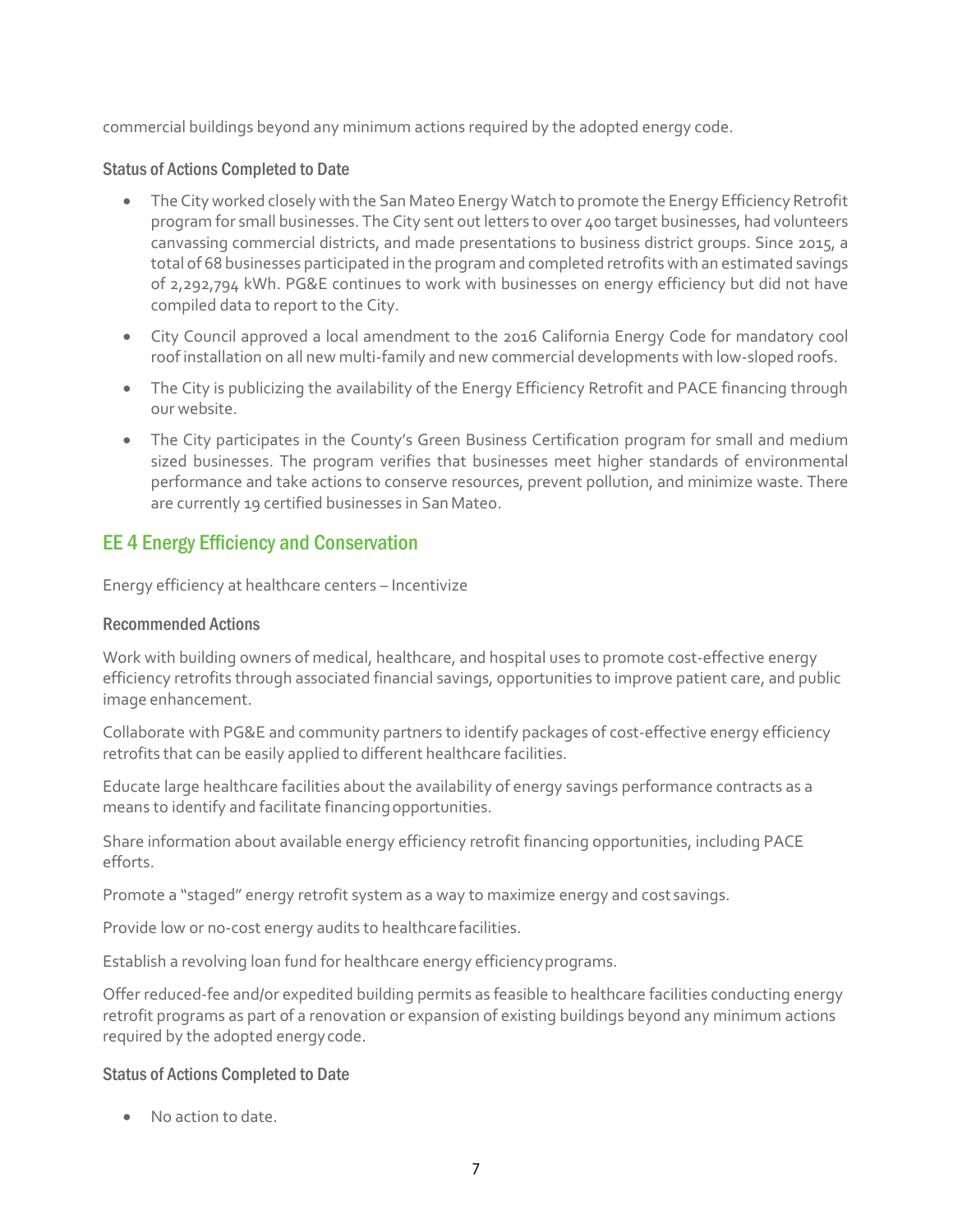commercial buildings beyond any minimum actions required by the adopted energy code.

# Status of Actions Completed to Date

- The City worked closely with the San Mateo Energy Watch to promote the Energy Efficiency Retrofit program for small businesses. The City sent out letters to over 400 target businesses, had volunteers canvassing commercial districts, and made presentations to business district groups. Since 2015, a total of 68 businesses participated in the program and completed retrofits with an estimated savings of 2,292,794 kWh. PG&E continues to work with businesses on energy efficiency but did not have compiled data to report to the City.
- City Council approved a local amendment to the 2016 California Energy Code for mandatory cool roof installation on all new multi-family and new commercial developments with low-sloped roofs.
- The City is publicizing the availability of the Energy Efficiency Retrofit and PACE financing through our website.
- The City participates in the County's Green Business Certification program for small and medium sized businesses. The program verifies that businesses meet higher standards of environmental performance and take actions to conserve resources, prevent pollution, and minimize waste. There are currently 19 certified businesses in SanMateo.

# EE 4 Energy Efficiency and Conservation

Energy efficiency at healthcare centers – Incentivize

# Recommended Actions

Work with building owners of medical, healthcare, and hospital uses to promote cost-effective energy efficiency retrofits through associated financial savings, opportunities to improve patient care, and public image enhancement.

Collaborate with PG&E and community partners to identify packages of cost-effective energy efficiency retrofits that can be easily applied to different healthcare facilities.

Educate large healthcare facilities about the availability of energy savings performance contracts as a means to identify and facilitate financingopportunities.

Share information about available energy efficiency retrofit financing opportunities, including PACE efforts.

Promote a "staged" energy retrofit system as a way to maximize energy and cost savings.

Provide low or no-cost energy audits to healthcarefacilities.

Establish a revolving loan fund for healthcare energy efficiencyprograms.

Offer reduced-fee and/or expedited building permits as feasible to healthcare facilities conducting energy retrofit programs as part of a renovation or expansion of existing buildings beyond any minimum actions required by the adopted energycode.

# Status of Actions Completed to Date

• No action to date.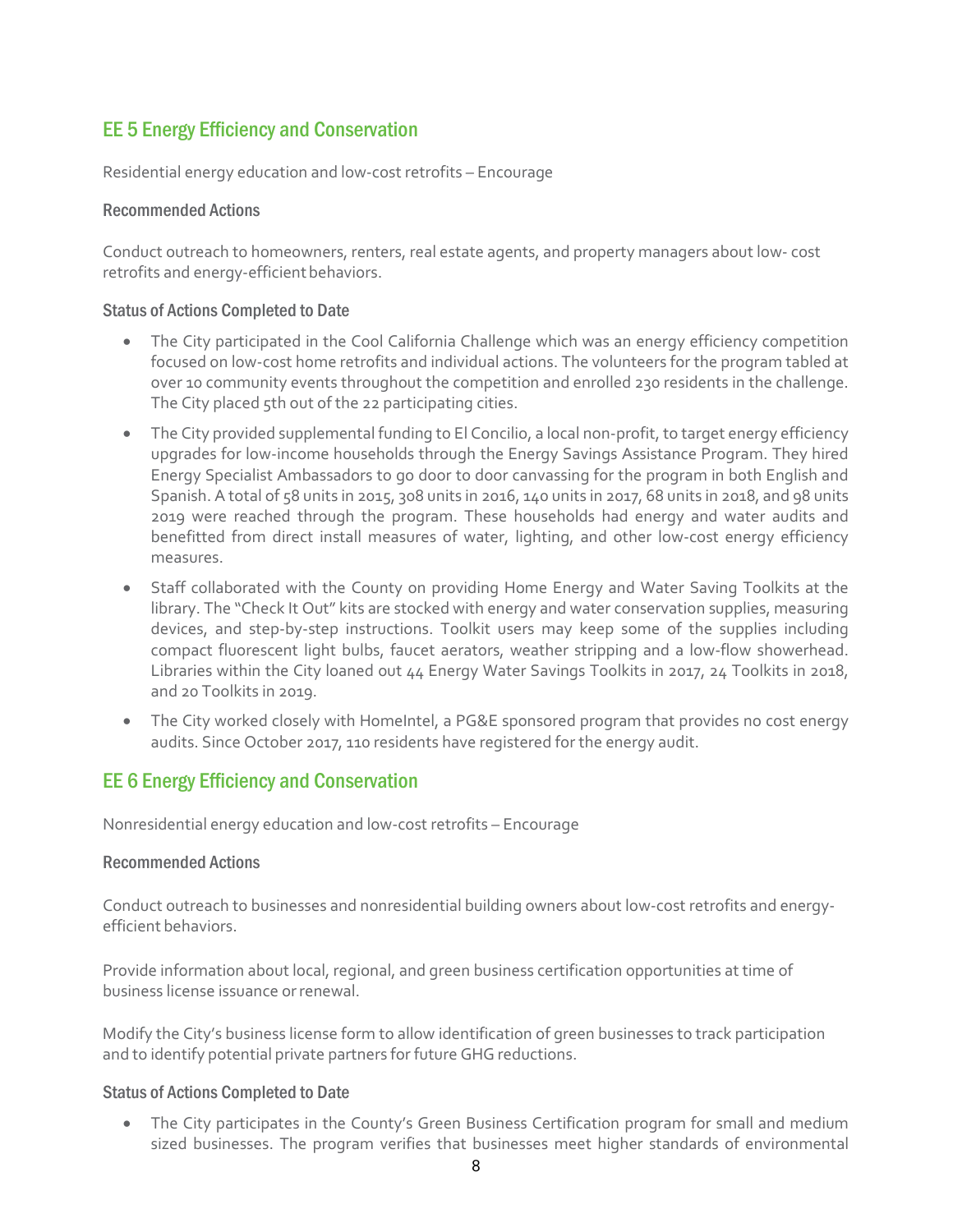# EE 5 Energy Efficiency and Conservation

Residential energy education and low-cost retrofits – Encourage

### Recommended Actions

Conduct outreach to homeowners, renters, real estate agents, and property managers about low- cost retrofits and energy-efficient behaviors.

### Status of Actions Completed to Date

- The City participated in the Cool California Challenge which was an energy efficiency competition focused on low-cost home retrofits and individual actions. The volunteers for the program tabled at over 10 community events throughout the competition and enrolled 230 residents in the challenge. The City placed 5th out of the 22 participating cities.
- The City provided supplemental funding to El Concilio, a local non-profit, to target energy efficiency upgrades for low-income households through the Energy Savings Assistance Program. They hired Energy Specialist Ambassadors to go door to door canvassing for the program in both English and Spanish. A total of 58 units in 2015, 308 units in 2016, 140 units in 2017, 68 units in 2018, and 98 units 2019 were reached through the program. These households had energy and water audits and benefitted from direct install measures of water, lighting, and other low-cost energy efficiency measures.
- Staff collaborated with the County on providing Home Energy and Water Saving Toolkits at the library. The "Check It Out" kits are stocked with energy and water conservation supplies, measuring devices, and step-by-step instructions. Toolkit users may keep some of the supplies including compact fluorescent light bulbs, faucet aerators, weather stripping and a low-flow showerhead. Libraries within the City loaned out 44 Energy Water Savings Toolkits in 2017, 24 Toolkits in 2018, and 20 Toolkits in 2019.
- The City worked closely with HomeIntel, a PG&E sponsored program that provides no cost energy audits. Since October 2017, 110 residents have registered for the energy audit.

# EE 6 Energy Efficiency and Conservation

Nonresidential energy education and low-cost retrofits – Encourage

#### Recommended Actions

Conduct outreach to businesses and nonresidential building owners about low-cost retrofits and energyefficient behaviors.

Provide information about local, regional, and green business certification opportunities at time of business license issuance orrenewal.

Modify the City's business license form to allow identification of green businesses to track participation and to identify potential private partners for future GHG reductions.

# Status of Actions Completed to Date

• The City participates in the County's Green Business Certification program for small and medium sized businesses. The program verifies that businesses meet higher standards of environmental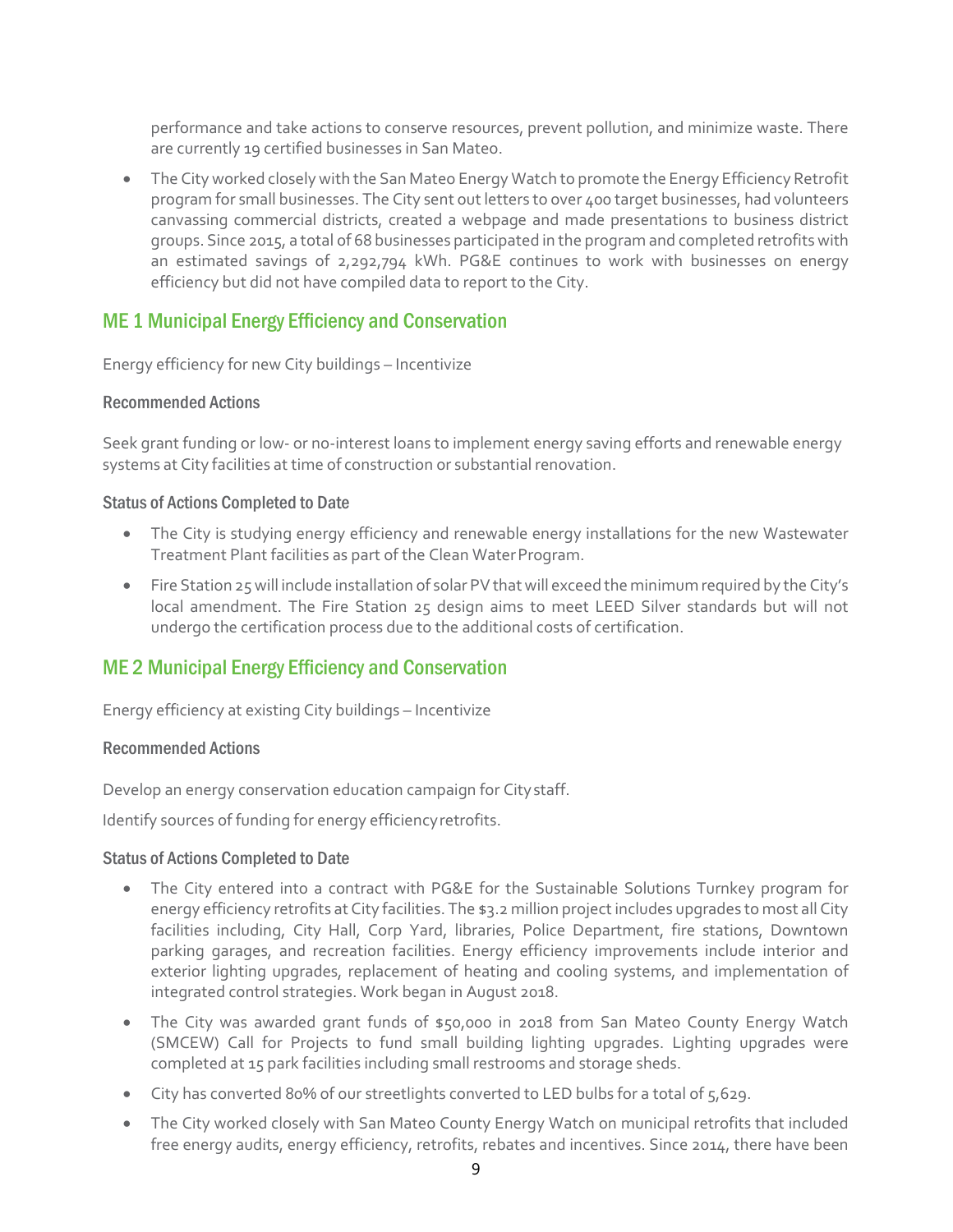performance and take actions to conserve resources, prevent pollution, and minimize waste. There are currently 19 certified businesses in San Mateo.

• The City worked closely with the San Mateo Energy Watch to promote the Energy Efficiency Retrofit program for small businesses. The City sent out letters to over 400 target businesses, had volunteers canvassing commercial districts, created a webpage and made presentations to business district groups. Since 2015, a total of 68 businesses participated in the program and completed retrofits with an estimated savings of 2,292,794 kWh. PG&E continues to work with businesses on energy efficiency but did not have compiled data to report to the City.

# ME 1 Municipal Energy Efficiency and Conservation

Energy efficiency for new City buildings – Incentivize

### Recommended Actions

Seek grant funding or low- or no-interest loans to implement energy saving efforts and renewable energy systems at City facilities at time of construction or substantial renovation.

### Status of Actions Completed to Date

- The City is studying energy efficiency and renewable energy installations for the new Wastewater Treatment Plant facilities as part of the Clean WaterProgram.
- Fire Station 25 will include installation of solar PV that will exceed the minimum required by the City's local amendment. The Fire Station 25 design aims to meet LEED Silver standards but will not undergo the certification process due to the additional costs of certification.

# ME 2 Municipal Energy Efficiency and Conservation

Energy efficiency at existing City buildings – Incentivize

#### Recommended Actions

Develop an energy conservation education campaign for Citystaff.

Identify sources of funding for energy efficiencyretrofits.

- The City entered into a contract with PG&E for the Sustainable Solutions Turnkey program for energy efficiency retrofits at City facilities. The \$3.2 million project includes upgrades to most all City facilities including, City Hall, Corp Yard, libraries, Police Department, fire stations, Downtown parking garages, and recreation facilities. Energy efficiency improvements include interior and exterior lighting upgrades, replacement of heating and cooling systems, and implementation of integrated control strategies. Work began in August 2018.
- The City was awarded grant funds of \$50,000 in 2018 from San Mateo County Energy Watch (SMCEW) Call for Projects to fund small building lighting upgrades. Lighting upgrades were completed at 15 park facilities including small restrooms and storage sheds.
- City has converted 80% of our streetlights converted to LED bulbs for a total of 5,629.
- The City worked closely with San Mateo County Energy Watch on municipal retrofits that included free energy audits, energy efficiency, retrofits, rebates and incentives. Since 2014, there have been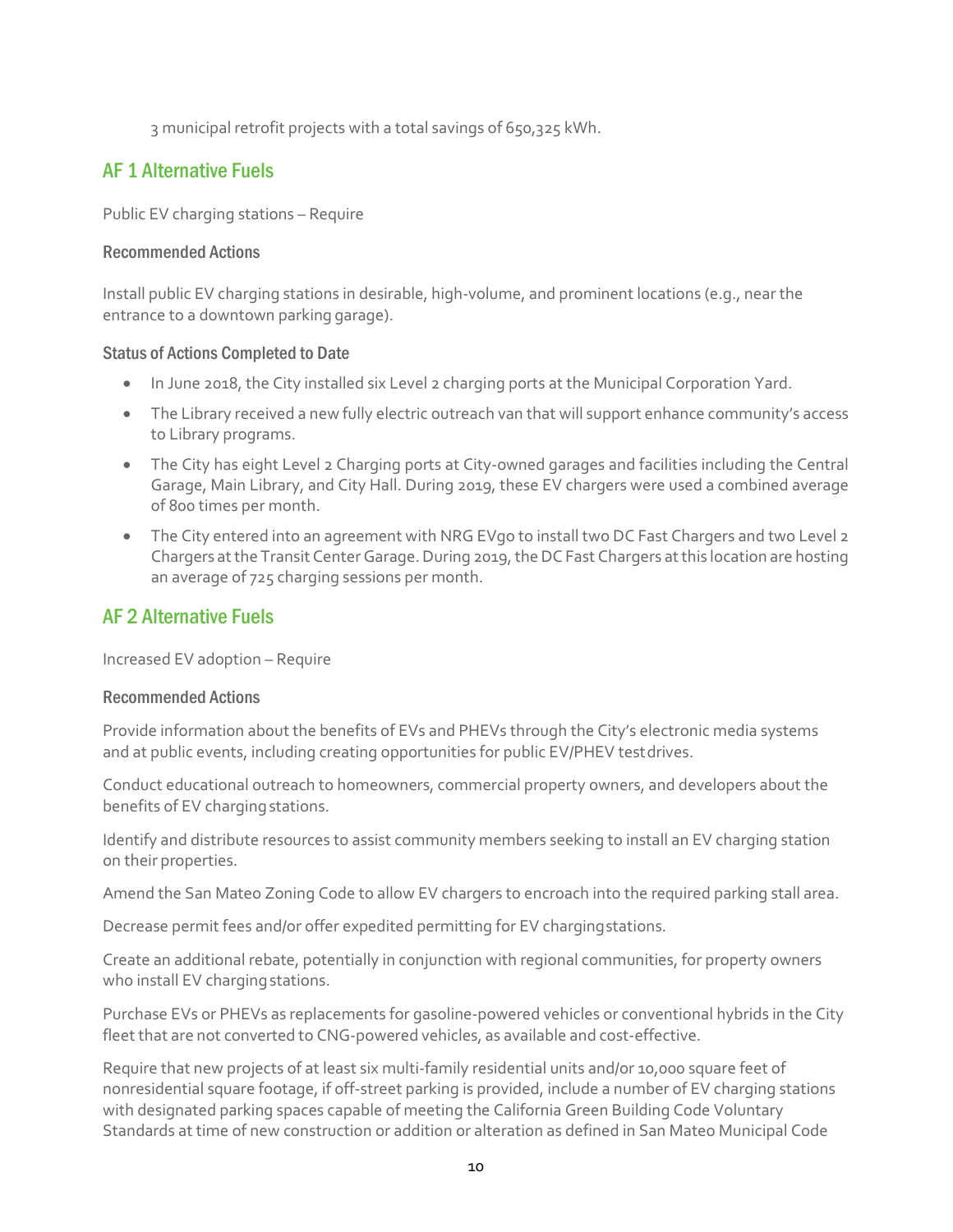3 municipal retrofit projects with a total savings of 650,325 kWh.

# AF 1 Alternative Fuels

Public EV charging stations – Require

### Recommended Actions

Install public EV charging stations in desirable, high-volume, and prominent locations (e.g., near the entrance to a downtown parking garage).

### Status of Actions Completed to Date

- In June 2018, the City installed six Level 2 charging ports at the Municipal Corporation Yard.
- The Library received a new fully electric outreach van that will support enhance community's access to Library programs.
- The City has eight Level 2 Charging ports at City-owned garages and facilities including the Central Garage, Main Library, and City Hall. During 2019, these EV chargers were used a combined average of 800 times per month.
- The City entered into an agreement with NRG EVgo to install two DC Fast Chargers and two Level 2 Chargers at the Transit Center Garage. During 2019, the DC Fast Chargers at this location are hosting an average of 725 charging sessions per month.

# AF 2 Alternative Fuels

Increased EV adoption – Require

#### Recommended Actions

Provide information about the benefits of EVs and PHEVs through the City's electronic media systems and at public events, including creating opportunities for public EV/PHEV testdrives.

Conduct educational outreach to homeowners, commercial property owners, and developers about the benefits of EV charging stations.

Identify and distribute resources to assist community members seeking to install an EV charging station on their properties.

Amend the San Mateo Zoning Code to allow EV chargers to encroach into the required parking stall area.

Decrease permit fees and/or offer expedited permitting for EV chargingstations.

Create an additional rebate, potentially in conjunction with regional communities, for property owners who install EV charging stations.

Purchase EVs or PHEVs as replacements for gasoline-powered vehicles or conventional hybrids in the City fleet that are not converted to CNG-powered vehicles, as available and cost-effective.

Require that new projects of at least six multi-family residential units and/or 10,000 square feet of nonresidential square footage, if off-street parking is provided, include a number of EV charging stations with designated parking spaces capable of meeting the California Green Building Code Voluntary Standards at time of new construction or addition or alteration as defined in San Mateo Municipal Code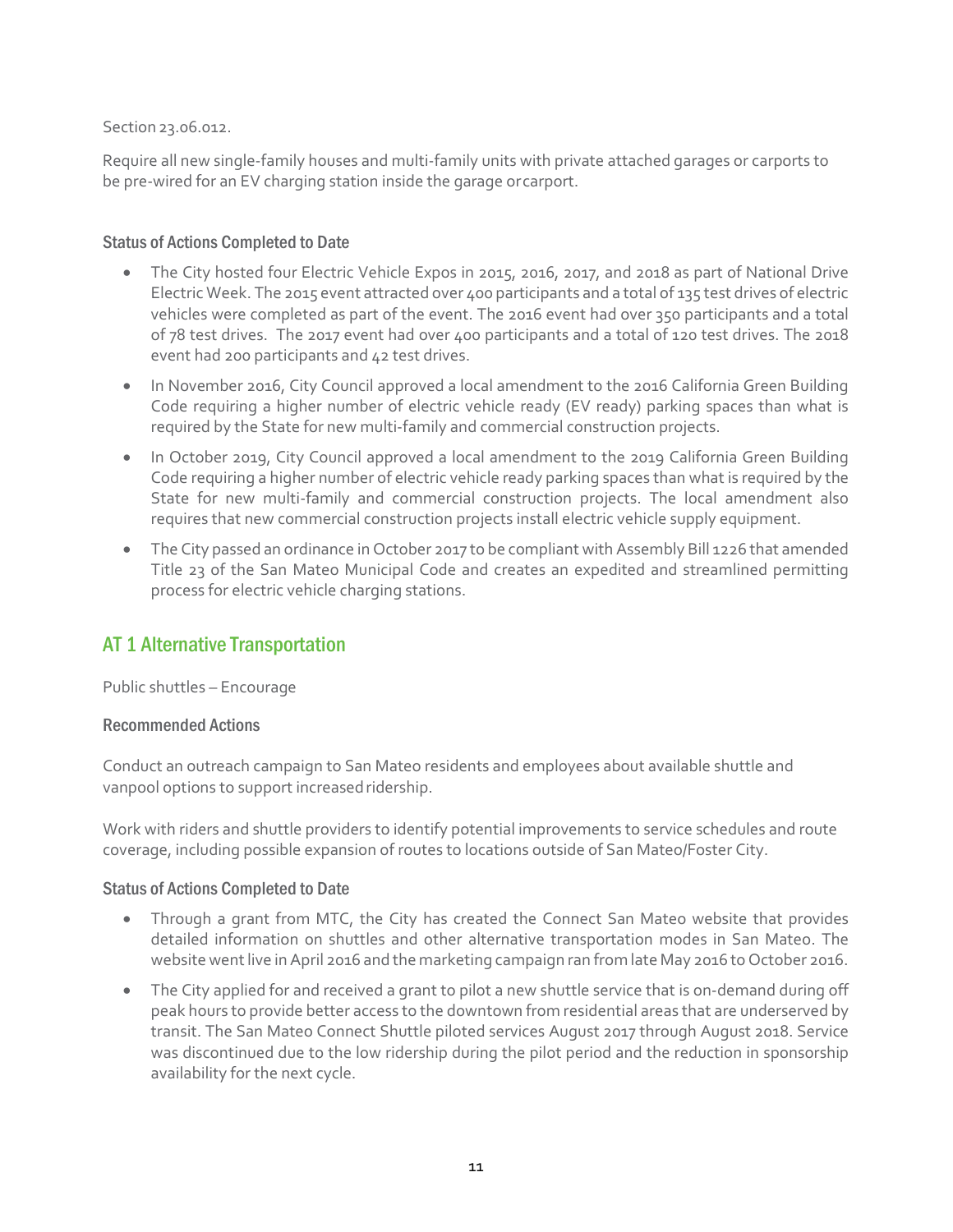# Section 23.06.012.

Require all new single-family houses and multi-family units with private attached garages or carports to be pre-wired for an EV charging station inside the garage orcarport.

### Status of Actions Completed to Date

- The City hosted four Electric Vehicle Expos in 2015, 2016, 2017, and 2018 as part of National Drive Electric Week. The 2015 event attracted over 400 participants and a total of 135 test drives of electric vehicles were completed as part of the event. The 2016 event had over 350 participants and a total of 78 test drives. The 2017 event had over 400 participants and a total of 120 test drives. The 2018 event had 200 participants and 42 test drives.
- In November 2016, City Council approved a local amendment to the 2016 California Green Building Code requiring a higher number of electric vehicle ready (EV ready) parking spaces than what is required by the State for new multi-family and commercial construction projects.
- In October 2019, City Council approved a local amendment to the 2019 California Green Building Code requiring a higher number of electric vehicle ready parking spaces than what is required by the State for new multi-family and commercial construction projects. The local amendment also requires that new commercial construction projects install electric vehicle supply equipment.
- The City passed an ordinance in October 2017 to be compliant with Assembly Bill 1226 that amended Title 23 of the San Mateo Municipal Code and creates an expedited and streamlined permitting process for electric vehicle charging stations.

# AT 1 Alternative Transportation

Public shuttles – Encourage

#### Recommended Actions

Conduct an outreach campaign to San Mateo residents and employees about available shuttle and vanpool options to support increased ridership.

Work with riders and shuttle providers to identify potential improvements to service schedules and route coverage, including possible expansion of routes to locations outside of San Mateo/Foster City.

- Through a grant from MTC, the City has created the Connect San Mateo website that provides detailed information on shuttles and other alternative transportation modes in San Mateo. The website went live in April 2016 and the marketing campaign ran from late May 2016 to October 2016.
- The City applied for and received a grant to pilot a new shuttle service that is on-demand during off peak hours to provide better access to the downtown from residential areas that are underserved by transit. The San Mateo Connect Shuttle piloted services August 2017 through August 2018. Service was discontinued due to the low ridership during the pilot period and the reduction in sponsorship availability for the next cycle.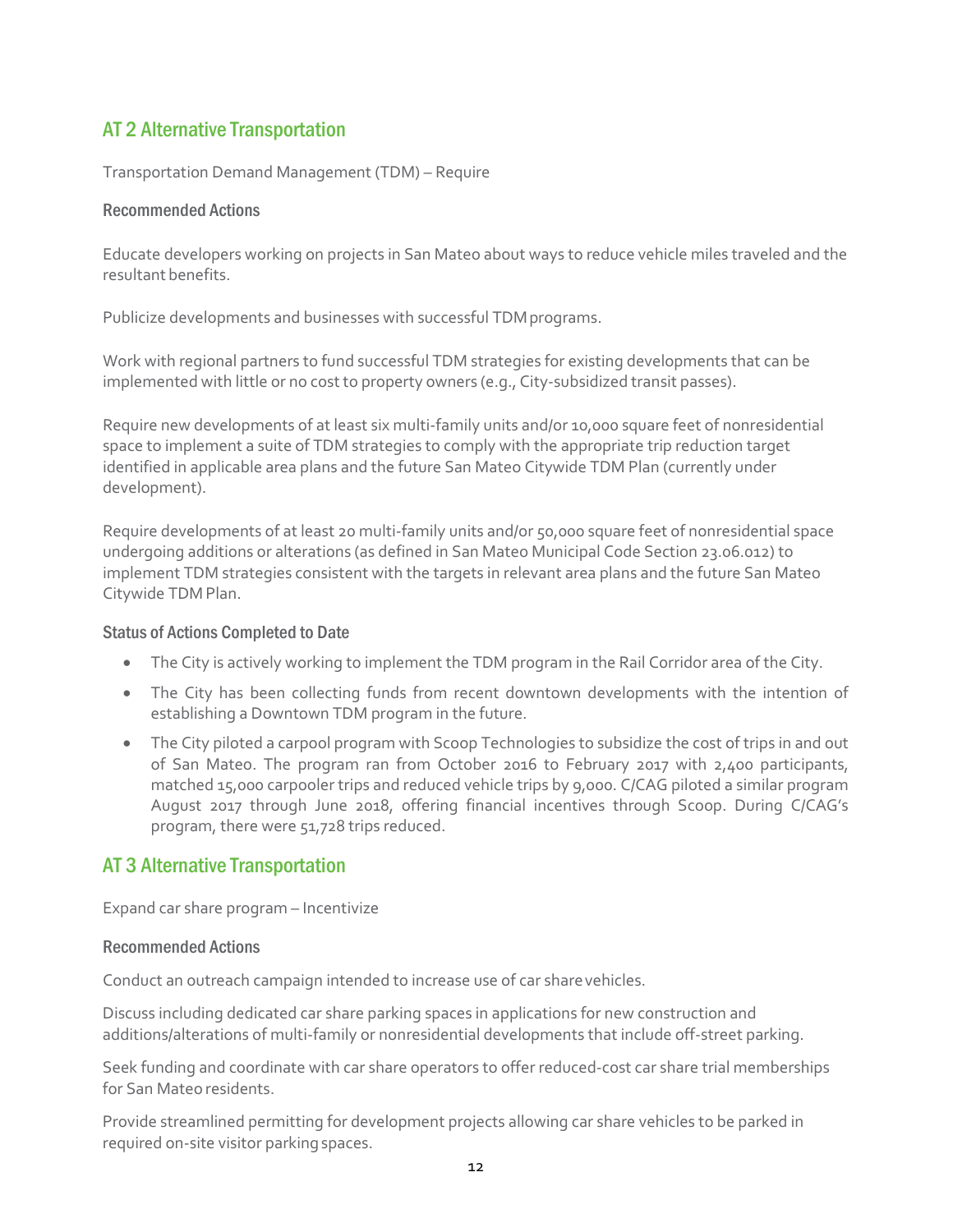# AT 2 Alternative Transportation

Transportation Demand Management (TDM) – Require

### Recommended Actions

Educate developers working on projects in San Mateo about ways to reduce vehicle miles traveled and the resultant benefits.

Publicize developments and businesses with successful TDM programs.

Work with regional partners to fund successful TDM strategies for existing developments that can be implemented with little or no cost to property owners (e.g., City-subsidized transit passes).

Require new developments of at least six multi-family units and/or 10,000 square feet of nonresidential space to implement a suite of TDM strategies to comply with the appropriate trip reduction target identified in applicable area plans and the future San Mateo Citywide TDM Plan (currently under development).

Require developments of at least 20 multi-family units and/or 50,000 square feet of nonresidential space undergoing additions or alterations (as defined in San Mateo Municipal Code Section 23.06.012) to implement TDM strategies consistent with the targets in relevant area plans and the future San Mateo Citywide TDM Plan.

# Status of Actions Completed to Date

- The City is actively working to implement the TDM program in the Rail Corridor area of the City.
- The City has been collecting funds from recent downtown developments with the intention of establishing a Downtown TDM program in the future.
- The City piloted a carpool program with Scoop Technologies to subsidize the cost of trips in and out of San Mateo. The program ran from October 2016 to February 2017 with 2,400 participants, matched 15,000 carpooler trips and reduced vehicle trips by 9,000. C/CAG piloted a similar program August 2017 through June 2018, offering financial incentives through Scoop. During C/CAG's program, there were 51,728 trips reduced.

# AT 3 Alternative Transportation

Expand car share program – Incentivize

#### Recommended Actions

Conduct an outreach campaign intended to increase use of car share vehicles.

Discuss including dedicated car share parking spaces in applications for new construction and additions/alterations of multi-family or nonresidential developments that include off-street parking.

Seek funding and coordinate with car share operators to offer reduced-cost car share trial memberships for San Mateo residents.

Provide streamlined permitting for development projects allowing car share vehicles to be parked in required on-site visitor parking spaces.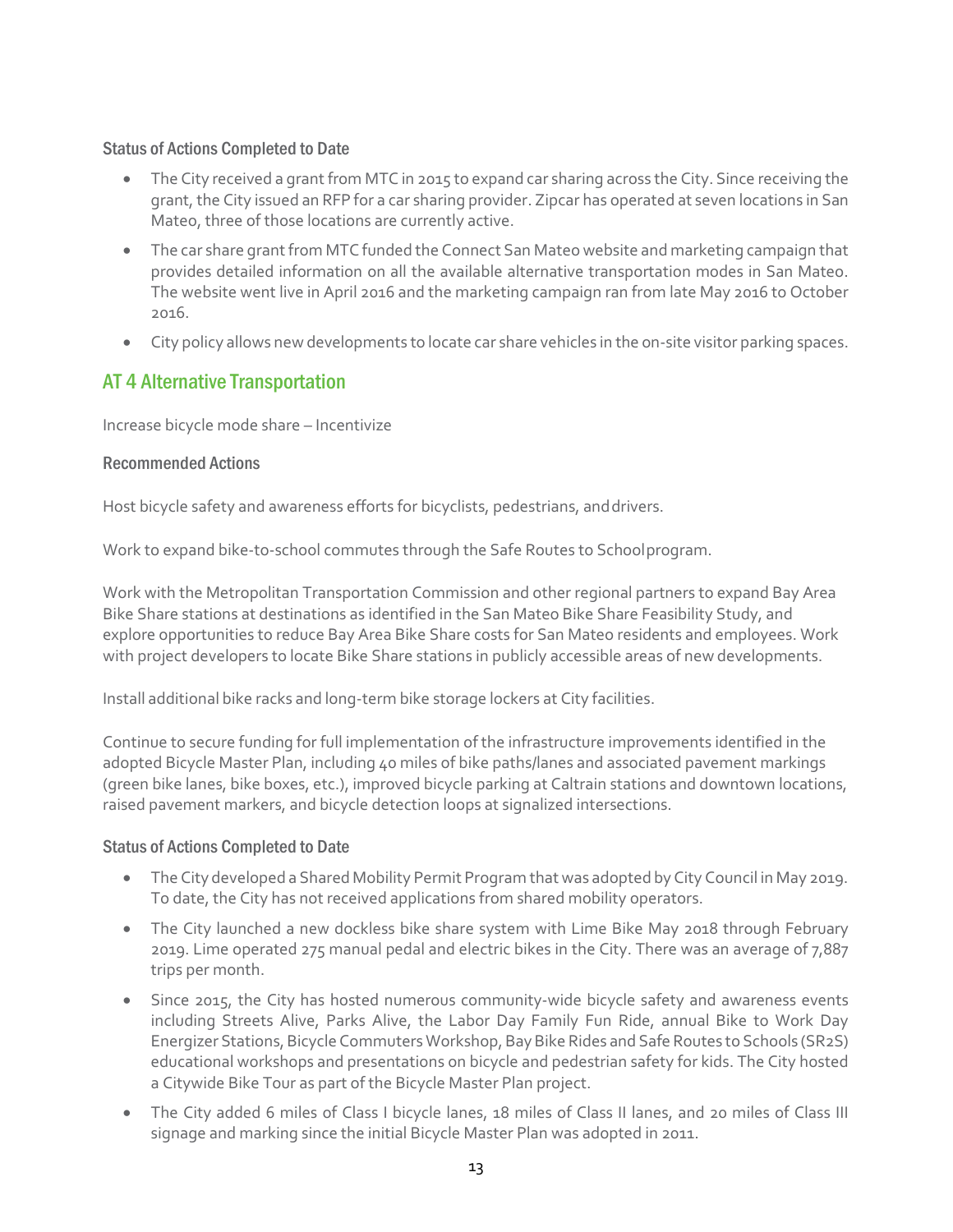# Status of Actions Completed to Date

- The City received a grant from MTC in 2015 to expand car sharing across the City. Since receiving the grant, the City issued an RFP for a car sharing provider. Zipcar has operated at seven locations in San Mateo, three of those locations are currently active.
- The car share grant from MTC funded the Connect San Mateo website and marketing campaign that provides detailed information on all the available alternative transportation modes in San Mateo. The website went live in April 2016 and the marketing campaign ran from late May 2016 to October 2016.
- City policy allows new developments to locate car share vehicles in the on-site visitor parking spaces.

# AT 4 Alternative Transportation

Increase bicycle mode share – Incentivize

### Recommended Actions

Host bicycle safety and awareness efforts for bicyclists, pedestrians, anddrivers.

Work to expand bike-to-school commutes through the Safe Routes to Schoolprogram.

Work with the Metropolitan Transportation Commission and other regional partners to expand Bay Area Bike Share stations at destinations as identified in the San Mateo Bike Share Feasibility Study, and explore opportunities to reduce Bay Area Bike Share costs for San Mateo residents and employees. Work with project developers to locate Bike Share stations in publicly accessible areas of new developments.

Install additional bike racks and long-term bike storage lockers at City facilities.

Continue to secure funding for full implementation of the infrastructure improvements identified in the adopted Bicycle Master Plan, including 40 miles of bike paths/lanes and associated pavement markings (green bike lanes, bike boxes, etc.), improved bicycle parking at Caltrain stations and downtown locations, raised pavement markers, and bicycle detection loops at signalized intersections.

- The City developed a Shared Mobility Permit Program that was adopted by City Council in May 2019. To date, the City has not received applications from shared mobility operators.
- The City launched a new dockless bike share system with Lime Bike May 2018 through February 2019. Lime operated 275 manual pedal and electric bikes in the City. There was an average of 7,887 trips per month.
- Since 2015, the City has hosted numerous community-wide bicycle safety and awareness events including Streets Alive, Parks Alive, the Labor Day Family Fun Ride, annual Bike to Work Day Energizer Stations, Bicycle Commuters Workshop, Bay Bike Rides and Safe Routes to Schools (SR2S) educational workshops and presentations on bicycle and pedestrian safety for kids. The City hosted a Citywide Bike Tour as part of the Bicycle Master Plan project.
- The City added 6 miles of Class I bicycle lanes, 18 miles of Class II lanes, and 20 miles of Class III signage and marking since the initial Bicycle Master Plan was adopted in 2011.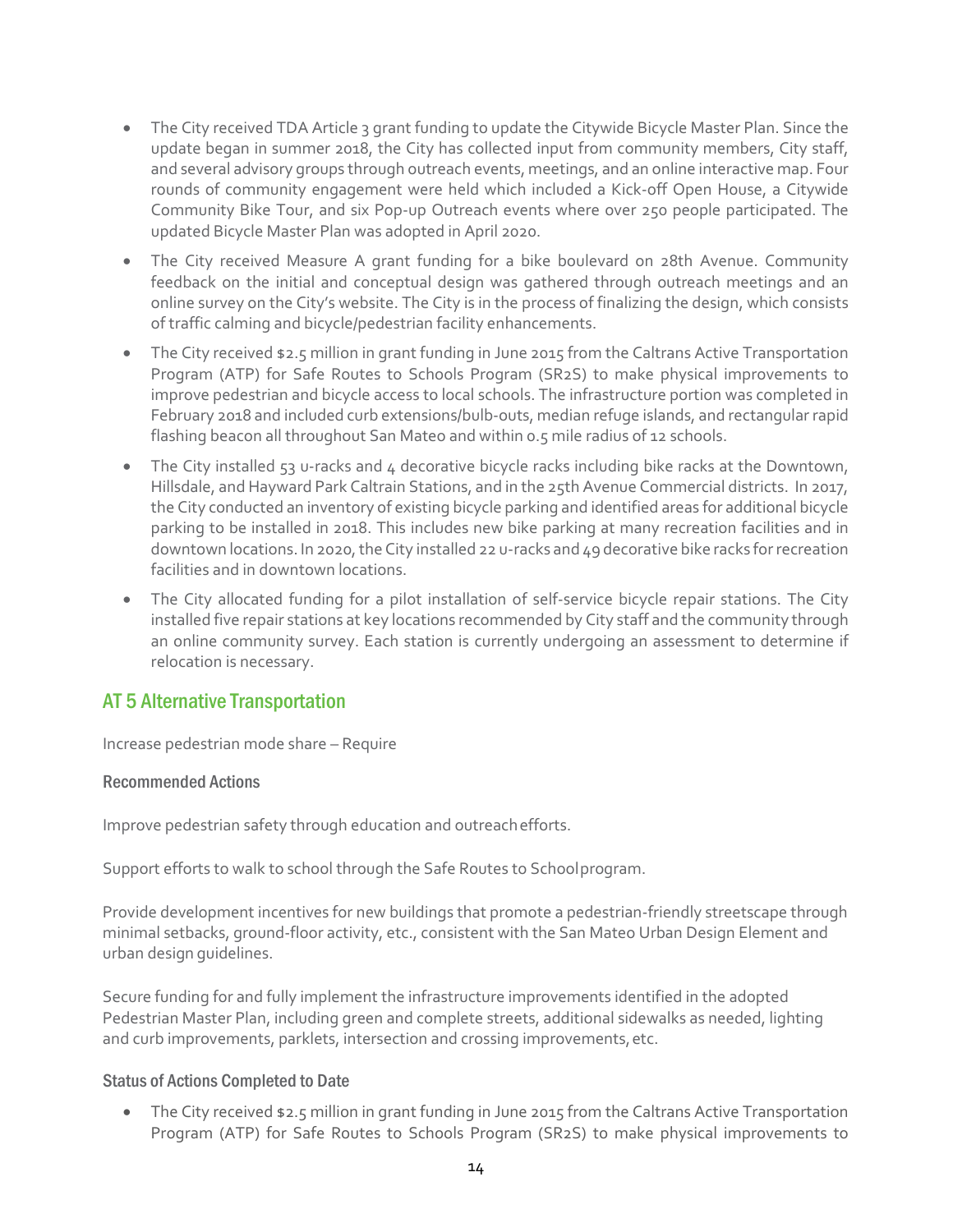- The City received TDA Article 3 grant funding to update the Citywide Bicycle Master Plan. Since the update began in summer 2018, the City has collected input from community members, City staff, and several advisory groups through outreach events, meetings, and an online interactive map. Four rounds of community engagement were held which included a Kick-off Open House, a Citywide Community Bike Tour, and six Pop-up Outreach events where over 250 people participated. The updated Bicycle Master Plan was adopted in April 2020.
- The City received Measure A grant funding for a bike boulevard on 28th Avenue. Community feedback on the initial and conceptual design was gathered through outreach meetings and an online survey on the City's website. The City is in the process of finalizing the design, which consists of traffic calming and bicycle/pedestrian facility enhancements.
- The City received \$2.5 million in grant funding in June 2015 from the Caltrans Active Transportation Program (ATP) for Safe Routes to Schools Program (SR2S) to make physical improvements to improve pedestrian and bicycle access to local schools. The infrastructure portion was completed in February 2018 and included curb extensions/bulb-outs, median refuge islands, and rectangular rapid flashing beacon all throughout San Mateo and within 0.5 mile radius of 12 schools.
- The City installed 53 u-racks and 4 decorative bicycle racks including bike racks at the Downtown, Hillsdale, and Hayward Park Caltrain Stations, and in the 25th Avenue Commercial districts. In 2017, the City conducted an inventory of existing bicycle parking and identified areas for additional bicycle parking to be installed in 2018. This includes new bike parking at many recreation facilities and in downtown locations. In 2020, the City installed 22 u-racks and 49 decorative bike racks for recreation facilities and in downtown locations.
- The City allocated funding for a pilot installation of self-service bicycle repair stations. The City installed five repair stations at key locations recommended by City staff and the community through an online community survey. Each station is currently undergoing an assessment to determine if relocation is necessary.

# AT 5 Alternative Transportation

Increase pedestrian mode share – Require

#### Recommended Actions

Improve pedestrian safety through education and outreachefforts.

Support efforts to walk to school through the Safe Routes to Schoolprogram.

Provide development incentives for new buildings that promote a pedestrian-friendly streetscape through minimal setbacks, ground-floor activity, etc., consistent with the San Mateo Urban Design Element and urban design guidelines.

Secure funding for and fully implement the infrastructure improvements identified in the adopted Pedestrian Master Plan, including green and complete streets, additional sidewalks as needed, lighting and curb improvements, parklets, intersection and crossing improvements, etc.

# Status of Actions Completed to Date

• The City received \$2.5 million in grant funding in June 2015 from the Caltrans Active Transportation Program (ATP) for Safe Routes to Schools Program (SR2S) to make physical improvements to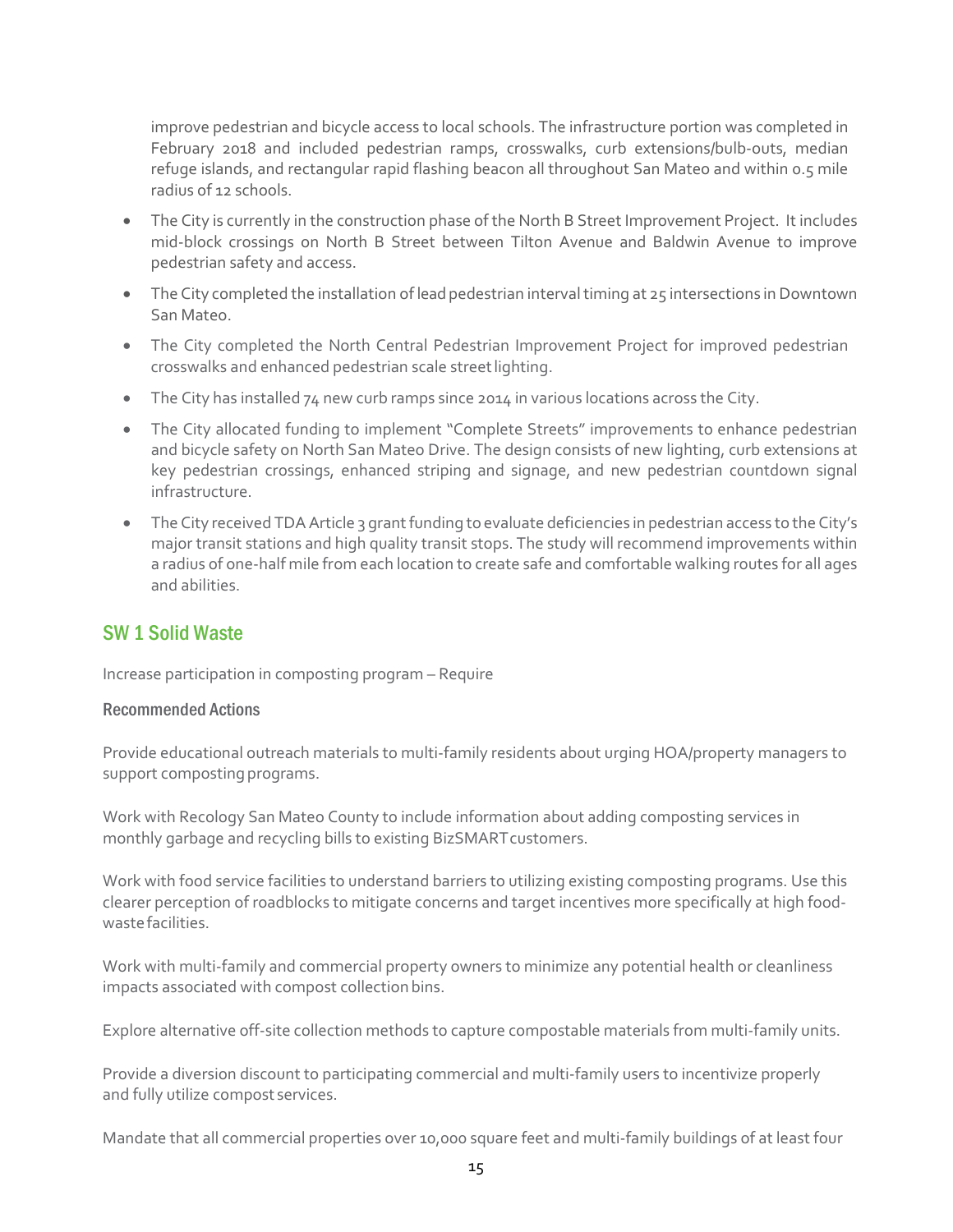improve pedestrian and bicycle access to local schools. The infrastructure portion was completed in February 2018 and included pedestrian ramps, crosswalks, curb extensions/bulb-outs, median refuge islands, and rectangular rapid flashing beacon all throughout San Mateo and within 0.5 mile radius of 12 schools.

- The City is currently in the construction phase of the North B Street Improvement Project. It includes mid-block crossings on North B Street between Tilton Avenue and Baldwin Avenue to improve pedestrian safety and access.
- The City completed the installation of lead pedestrian interval timing at 25 intersections in Downtown San Mateo.
- The City completed the North Central Pedestrian Improvement Project for improved pedestrian crosswalks and enhanced pedestrian scale streetlighting.
- The City has installed 74 new curb ramps since 2014 in various locations across the City.
- The City allocated funding to implement "Complete Streets" improvements to enhance pedestrian and bicycle safety on North San Mateo Drive. The design consists of new lighting, curb extensions at key pedestrian crossings, enhanced striping and signage, and new pedestrian countdown signal infrastructure.
- The City received TDA Article 3 grant funding to evaluate deficiencies in pedestrian access to the City's major transit stations and high quality transit stops. The study will recommend improvements within a radius of one-half mile from each location to create safe and comfortable walking routes for all ages and abilities.

# SW 1 Solid Waste

Increase participation in composting program – Require

#### Recommended Actions

Provide educational outreach materials to multi-family residents about urging HOA/property managers to support composting programs.

Work with Recology San Mateo County to include information about adding composting services in monthly garbage and recycling bills to existing BizSMARTcustomers.

Work with food service facilities to understand barriers to utilizing existing composting programs. Use this clearer perception of roadblocks to mitigate concerns and target incentives more specifically at high foodwaste facilities.

Work with multi-family and commercial property owners to minimize any potential health or cleanliness impacts associated with compost collection bins.

Explore alternative off-site collection methods to capture compostable materials from multi-family units.

Provide a diversion discount to participating commercial and multi-family users to incentivize properly and fully utilize compost services.

Mandate that all commercial properties over 10,000 square feet and multi-family buildings of at least four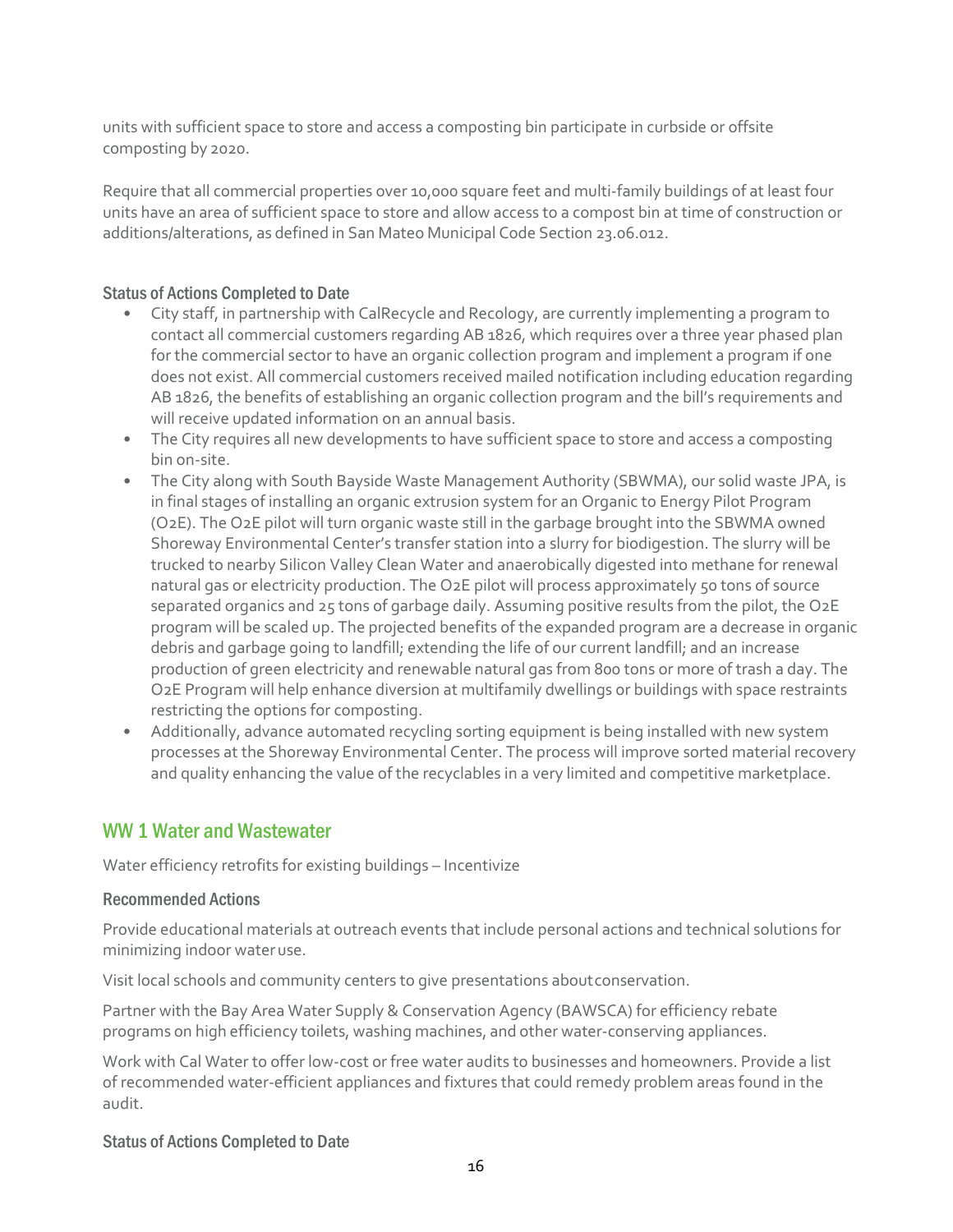units with sufficient space to store and access a composting bin participate in curbside or offsite composting by 2020.

Require that all commercial properties over 10,000 square feet and multi-family buildings of at least four units have an area of sufficient space to store and allow access to a compost bin at time of construction or additions/alterations, as defined in San Mateo Municipal Code Section 23.06.012.

### Status of Actions Completed to Date

- City staff, in partnership with CalRecycle and Recology, are currently implementing a program to contact all commercial customers regarding AB 1826, which requires over a three year phased plan for the commercial sector to have an organic collection program and implement a program if one does not exist. All commercial customers received mailed notification including education regarding AB 1826, the benefits of establishing an organic collection program and the bill's requirements and will receive updated information on an annual basis.
- The City requires all new developments to have sufficient space to store and access a composting bin on-site.
- The City along with South Bayside Waste Management Authority (SBWMA), our solid waste JPA, is in final stages of installing an organic extrusion system for an Organic to Energy Pilot Program (O2E). The O2E pilot will turn organic waste still in the garbage brought into the SBWMA owned Shoreway Environmental Center's transfer station into a slurry for biodigestion. The slurry will be trucked to nearby Silicon Valley Clean Water and anaerobically digested into methane for renewal natural gas or electricity production. The O2E pilot will process approximately 50 tons of source separated organics and 25 tons of garbage daily. Assuming positive results from the pilot, the O2E program will be scaled up. The projected benefits of the expanded program are a decrease in organic debris and garbage going to landfill; extending the life of our current landfill; and an increase production of green electricity and renewable natural gas from 800 tons or more of trash a day. The O2E Program will help enhance diversion at multifamily dwellings or buildings with space restraints restricting the options for composting.
- Additionally, advance automated recycling sorting equipment is being installed with new system processes at the Shoreway Environmental Center. The process will improve sorted material recovery and quality enhancing the value of the recyclables in a very limited and competitive marketplace.

# WW 1 Water and Wastewater

Water efficiency retrofits for existing buildings – Incentivize

#### Recommended Actions

Provide educational materials at outreach events that include personal actions and technical solutions for minimizing indoor wateruse.

Visit local schools and community centers to give presentations aboutconservation.

Partner with the Bay Area Water Supply & Conservation Agency (BAWSCA) for efficiency rebate programs on high efficiency toilets, washing machines, and other water-conserving appliances.

Work with Cal Water to offer low-cost or free water audits to businesses and homeowners. Provide a list of recommended water-efficient appliances and fixtures that could remedy problem areas found in the audit.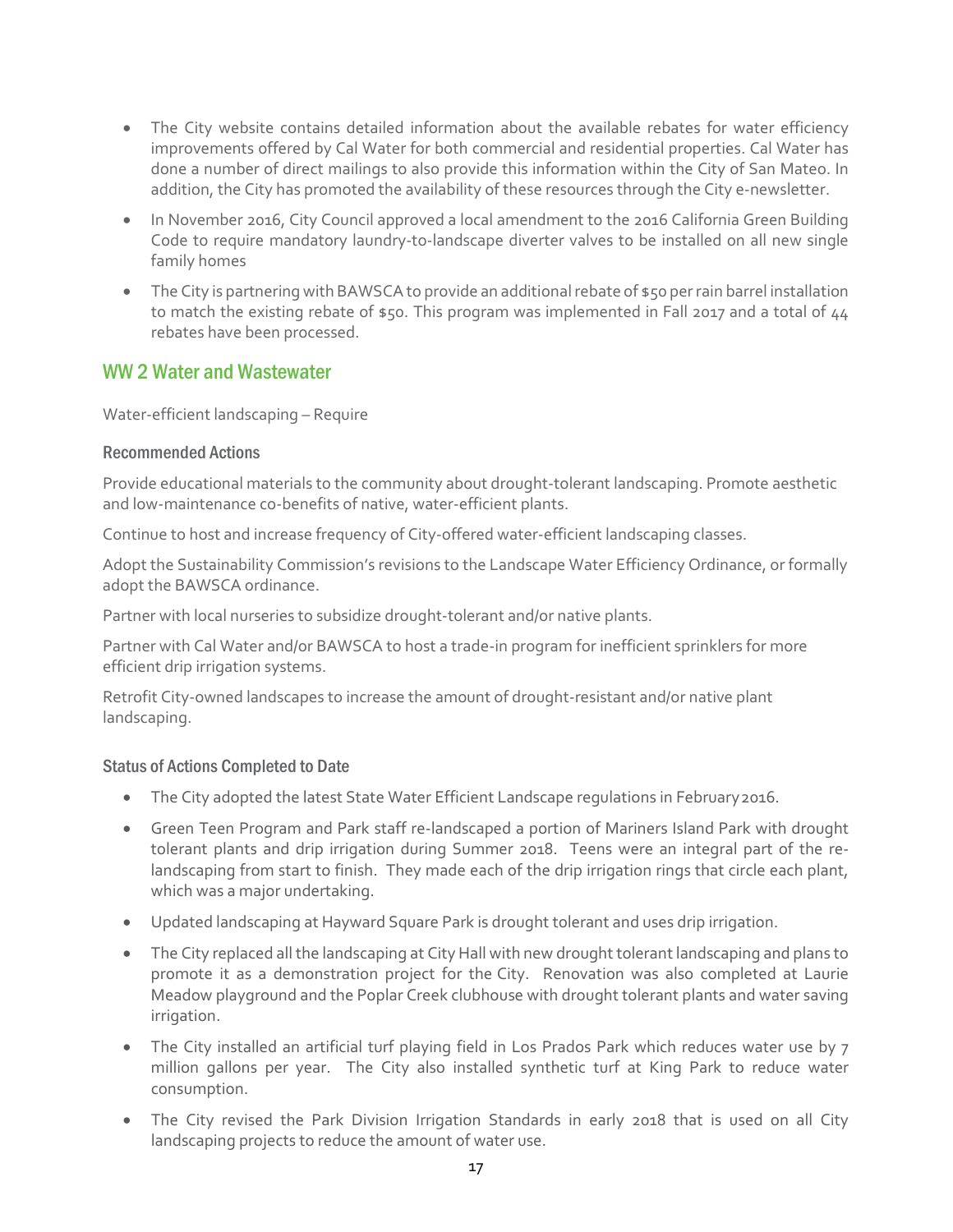- The City website contains detailed information about the available rebates for water efficiency improvements offered by Cal Water for both commercial and residential properties. Cal Water has done a number of direct mailings to also provide this information within the City of San Mateo. In addition, the City has promoted the availability of these resources through the City e-newsletter.
- In November 2016, City Council approved a local amendment to the 2016 California Green Building Code to require mandatory laundry-to-landscape diverter valves to be installed on all new single family homes
- The City is partnering with BAWSCA to provide an additional rebate of \$50 per rain barrel installation to match the existing rebate of \$50. This program was implemented in Fall 2017 and a total of 44 rebates have been processed.

# WW 2 Water and Wastewater

Water-efficient landscaping – Require

### Recommended Actions

Provide educational materials to the community about drought-tolerant landscaping. Promote aesthetic and low-maintenance co-benefits of native, water-efficient plants.

Continue to host and increase frequency of City-offered water-efficient landscaping classes.

Adopt the Sustainability Commission's revisions to the Landscape Water Efficiency Ordinance, or formally adopt the BAWSCA ordinance.

Partner with local nurseries to subsidize drought-tolerant and/or native plants.

Partner with Cal Water and/or BAWSCA to host a trade-in program for inefficient sprinklers for more efficient drip irrigation systems.

Retrofit City-owned landscapes to increase the amount of drought-resistant and/or native plant landscaping.

- The City adopted the latest State Water Efficient Landscape regulations in February2016.
- Green Teen Program and Park staff re-landscaped a portion of Mariners Island Park with drought tolerant plants and drip irrigation during Summer 2018. Teens were an integral part of the relandscaping from start to finish. They made each of the drip irrigation rings that circle each plant, which was a major undertaking.
- Updated landscaping at Hayward Square Park is drought tolerant and uses drip irrigation.
- The City replaced all the landscaping at City Hall with new drought tolerant landscaping and plans to promote it as a demonstration project for the City. Renovation was also completed at Laurie Meadow playground and the Poplar Creek clubhouse with drought tolerant plants and water saving irrigation.
- The City installed an artificial turf playing field in Los Prados Park which reduces water use by 7 million gallons per year. The City also installed synthetic turf at King Park to reduce water consumption.
- The City revised the Park Division Irrigation Standards in early 2018 that is used on all City landscaping projects to reduce the amount of water use.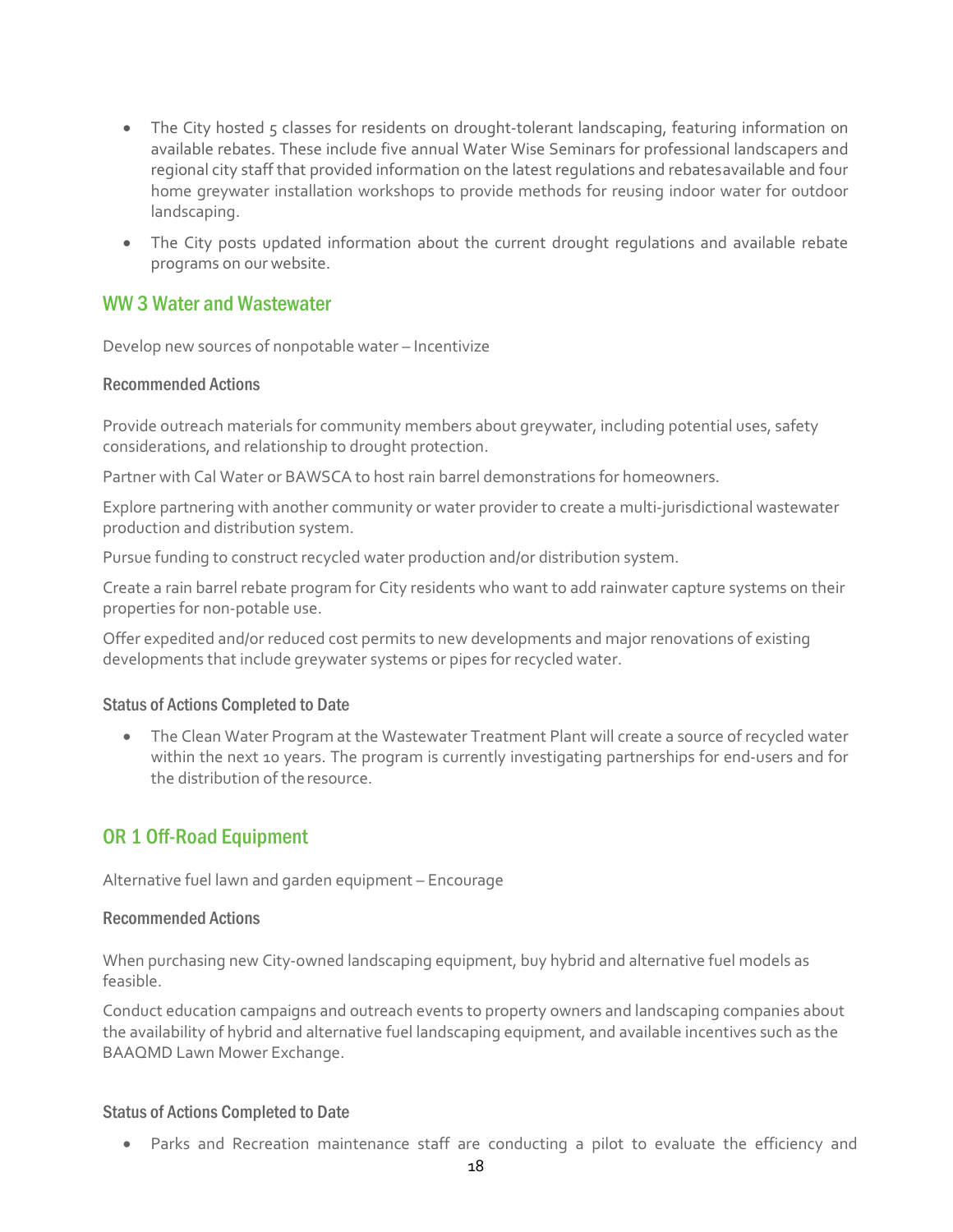- The City hosted 5 classes for residents on drought-tolerant landscaping, featuring information on available rebates. These include five annual Water Wise Seminars for professional landscapers and regional city staff that provided information on the latest regulations and rebatesavailable and four home greywater installation workshops to provide methods for reusing indoor water for outdoor landscaping.
- The City posts updated information about the current drought regulations and available rebate programs on our website.

# WW 3 Water and Wastewater

Develop new sources of nonpotable water – Incentivize

### Recommended Actions

Provide outreach materials for community members about greywater, including potential uses, safety considerations, and relationship to drought protection.

Partner with Cal Water or BAWSCA to host rain barrel demonstrations for homeowners.

Explore partnering with another community or water provider to create a multi-jurisdictional wastewater production and distribution system.

Pursue funding to construct recycled water production and/or distribution system.

Create a rain barrel rebate program for City residents who want to add rainwater capture systems on their properties for non-potable use.

Offer expedited and/or reduced cost permits to new developments and major renovations of existing developments that include greywater systems or pipes for recycled water.

# Status of Actions Completed to Date

• The Clean Water Program at the Wastewater Treatment Plant will create a source of recycled water within the next 10 years. The program is currently investigating partnerships for end-users and for the distribution of theresource.

# OR 1 Off-Road Equipment

Alternative fuel lawn and garden equipment – Encourage

#### Recommended Actions

When purchasing new City-owned landscaping equipment, buy hybrid and alternative fuel models as feasible.

Conduct education campaigns and outreach events to property owners and landscaping companies about the availability of hybrid and alternative fuel landscaping equipment, and available incentives such as the BAAQMD Lawn Mower Exchange.

#### Status of Actions Completed to Date

• Parks and Recreation maintenance staff are conducting a pilot to evaluate the efficiency and